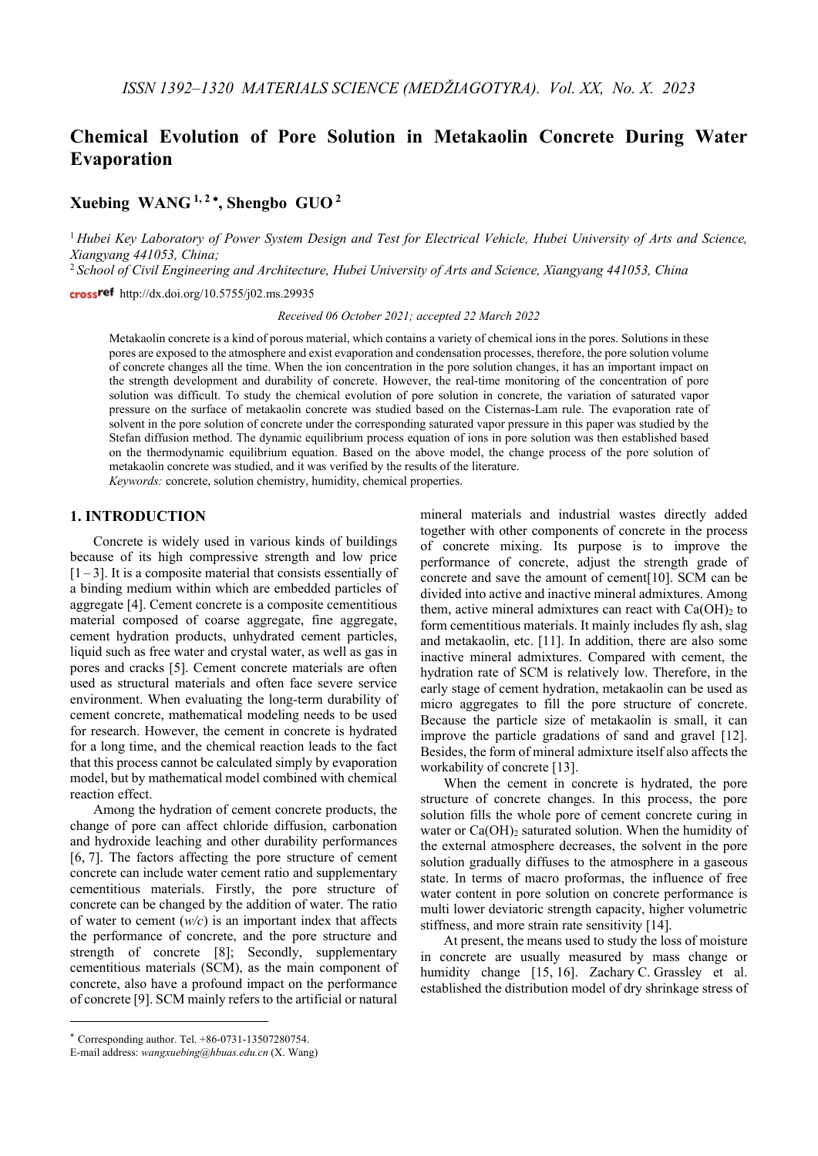# **Chemical Evolution of Pore Solution in Metakaolin Concrete During Water Evaporation**

## **Xuebing WANG 1, <sup>2</sup>** <sup>∗</sup>**, Shengbo GUO <sup>2</sup>**

<sup>1</sup> *Hubei Key Laboratory of Power System Design and Test for Electrical Vehicle, Hubei University of Arts and Science, Xiangyang 441053, China;*

<sup>2</sup> *School of Civil Engineering and Architecture, Hubei University of Arts and Science, Xiangyang 441053, China*

crossref http://dx.doi.org/10.5755/j02.ms.29935

*Received 06 October 2021; accepted 22 March 2022*

Metakaolin concrete is a kind of porous material, which contains a variety of chemical ions in the pores. Solutions in these pores are exposed to the atmosphere and exist evaporation and condensation processes, therefore, the pore solution volume of concrete changes all the time. When the ion concentration in the pore solution changes, it has an important impact on the strength development and durability of concrete. However, the real-time monitoring of the concentration of pore solution was difficult. To study the chemical evolution of pore solution in concrete, the variation of saturated vapor pressure on the surface of metakaolin concrete was studied based on the Cisternas-Lam rule. The evaporation rate of solvent in the pore solution of concrete under the corresponding saturated vapor pressure in this paper was studied by the Stefan diffusion method. The dynamic equilibrium process equation of ions in pore solution was then established based on the thermodynamic equilibrium equation. Based on the above model, the change process of the pore solution of metakaolin concrete was studied, and it was verified by the results of the literature.

*Keywords:* concrete, solution chemistry, humidity, chemical properties.

## **1. INTRODUCTION**[∗](#page-0-0)

Concrete is widely used in various kinds of buildings because of its high compressive strength and low price  $[1-3]$ . It is a composite material that consists essentially of a binding medium within which are embedded particles of aggregate [4]. Cement concrete is a composite cementitious material composed of coarse aggregate, fine aggregate, cement hydration products, unhydrated cement particles, liquid such as free water and crystal water, as well as gas in pores and cracks [5]. Cement concrete materials are often used as structural materials and often face severe service environment. When evaluating the long-term durability of cement concrete, mathematical modeling needs to be used for research. However, the cement in concrete is hydrated for a long time, and the chemical reaction leads to the fact that this process cannot be calculated simply by evaporation model, but by mathematical model combined with chemical reaction effect.

Among the hydration of cement concrete products, the change of pore can affect chloride diffusion, carbonation and hydroxide leaching and other durability performances [6, 7]. The factors affecting the pore structure of cement concrete can include water cement ratio and supplementary cementitious materials. Firstly, the pore structure of concrete can be changed by the addition of water. The ratio of water to cement (*w/c*) is an important index that affects the performance of concrete, and the pore structure and strength of concrete [8]; Secondly, supplementary cementitious materials (SCM), as the main component of concrete, also have a profound impact on the performance of concrete [9]. SCM mainly refers to the artificial or natural

mineral materials and industrial wastes directly added together with other components of concrete in the process of concrete mixing. Its purpose is to improve the performance of concrete, adjust the strength grade of concrete and save the amount of cement[10]. SCM can be divided into active and inactive mineral admixtures. Among them, active mineral admixtures can react with  $Ca(OH)$ <sub>2</sub> to form cementitious materials. It mainly includes fly ash, slag and metakaolin, etc. [11]. In addition, there are also some inactive mineral admixtures. Compared with cement, the hydration rate of SCM is relatively low. Therefore, in the early stage of cement hydration, metakaolin can be used as micro aggregates to fill the pore structure of concrete. Because the particle size of metakaolin is small, it can improve the particle gradations of sand and gravel [12]. Besides, the form of mineral admixture itself also affects the workability of concrete [13].

When the cement in concrete is hydrated, the pore structure of concrete changes. In this process, the pore solution fills the whole pore of cement concrete curing in water or  $Ca(OH)_2$  saturated solution. When the humidity of the external atmosphere decreases, the solvent in the pore solution gradually diffuses to the atmosphere in a gaseous state. In terms of macro proformas, the influence of free water content in pore solution on concrete performance is multi lower deviatoric strength capacity, higher volumetric stiffness, and more strain rate sensitivity [14].

At present, the means used to study the loss of moisture in concrete are usually measured by mass change or humidity change [15, 16]. Zachary C. Grassley et al. established the distribution model of dry shrinkage stress of

<span id="page-0-0"></span><sup>∗</sup> Corresponding author. Tel. +86-0731-13507280754.

E-mail address: *wangxuebing@hbuas.edu.cn* (X. Wang)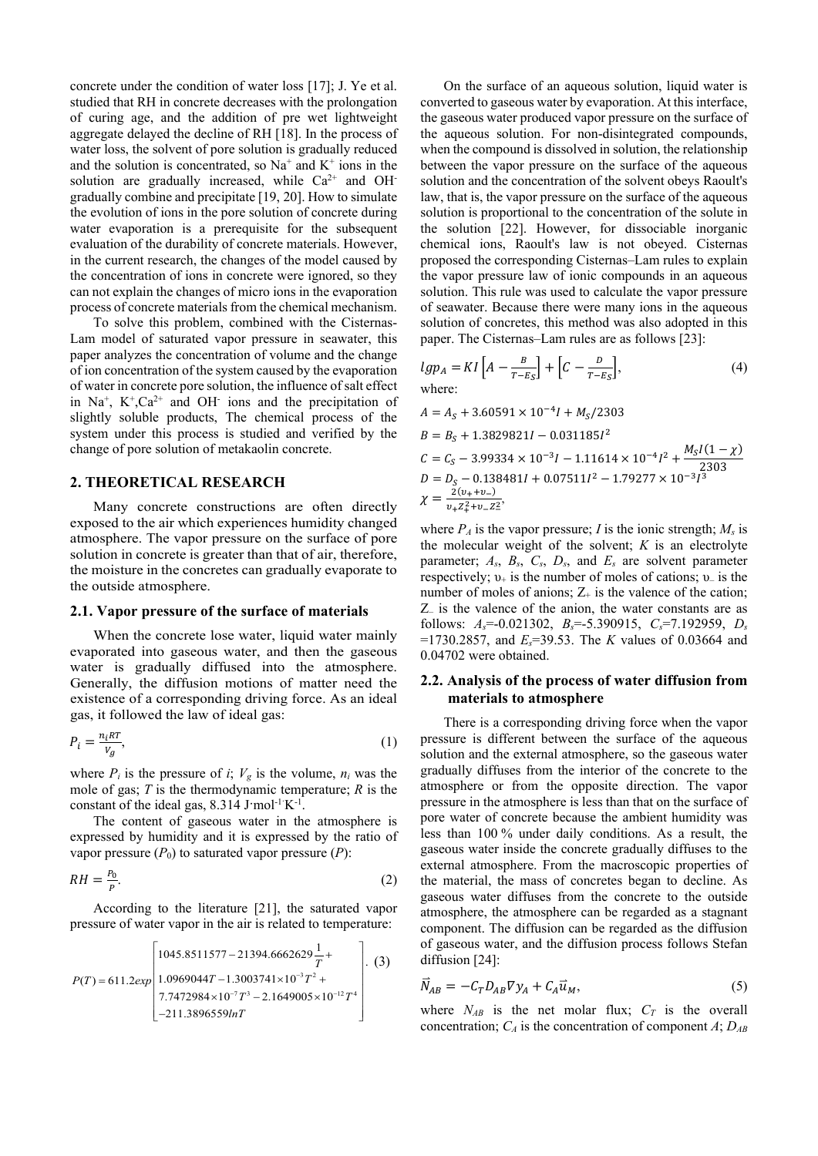concrete under the condition of water loss [17]; J. Ye et al. studied that RH in concrete decreases with the prolongation of curing age, and the addition of pre wet lightweight aggregate delayed the decline of RH [18]. In the process of water loss, the solvent of pore solution is gradually reduced and the solution is concentrated, so  $Na^+$  and  $K^+$  ions in the solution are gradually increased, while  $Ca^{2+}$  and OHgradually combine and precipitate [19, 20]. How to simulate the evolution of ions in the pore solution of concrete during water evaporation is a prerequisite for the subsequent evaluation of the durability of concrete materials. However, in the current research, the changes of the model caused by the concentration of ions in concrete were ignored, so they can not explain the changes of micro ions in the evaporation process of concrete materials from the chemical mechanism.

To solve this problem, combined with the Cisternas-Lam model of saturated vapor pressure in seawater, this paper analyzes the concentration of volume and the change of ion concentration of the system caused by the evaporation of water in concrete pore solution, the influence of salt effect in Na<sup>+</sup>,  $K^+$ ,  $Ca^{2+}$  and OH<sup>-</sup> ions and the precipitation of slightly soluble products, The chemical process of the system under this process is studied and verified by the change of pore solution of metakaolin concrete.

#### **2. THEORETICAL RESEARCH**

Many concrete constructions are often directly exposed to the air which experiences humidity changed atmosphere. The vapor pressure on the surface of pore solution in concrete is greater than that of air, therefore, the moisture in the concretes can gradually evaporate to the outside atmosphere.

#### **2.1. Vapor pressure of the surface of materials**

When the concrete lose water, liquid water mainly evaporated into gaseous water, and then the gaseous water is gradually diffused into the atmosphere. Generally, the diffusion motions of matter need the existence of a corresponding driving force. As an ideal gas, it followed the law of ideal gas:

$$
P_i = \frac{n_i \kappa T}{V_g},\tag{1}
$$

where  $P_i$  is the pressure of *i*;  $V_g$  is the volume,  $n_i$  was the mole of gas; *T* is the thermodynamic temperature; *R* is the constant of the ideal gas,  $8.314$  J·mol<sup>-1</sup> K<sup>-1</sup>.

The content of gaseous water in the atmosphere is expressed by humidity and it is expressed by the ratio of vapor pressure  $(P_0)$  to saturated vapor pressure  $(P)$ :

$$
RH = \frac{P_0}{P}.\tag{2}
$$

According to the literature [21], the saturated vapor pressure of water vapor in the air is related to temperature:

$$
P(T) = 611.2 \exp\left[ \frac{1045.8511577 - 21394.6662629 \frac{1}{T} + 1.0969044T - 1.3003741 \times 10^{-3} T^2 + 7.7472984 \times 10^{-7} T^3 - 2.1649005 \times 10^{-12} T^4}{-211.3896559 ln T} \right].
$$
 (3)

On the surface of an aqueous solution, liquid water is converted to gaseous water by evaporation. At this interface, the gaseous water produced vapor pressure on the surface of the aqueous solution. For non-disintegrated compounds, when the compound is dissolved in solution, the relationship between the vapor pressure on the surface of the aqueous solution and the concentration of the solvent obeys Raoult's law, that is, the vapor pressure on the surface of the aqueous solution is proportional to the concentration of the solute in the solution [22]. However, for dissociable inorganic chemical ions, Raoult's law is not obeyed. Cisternas proposed the corresponding Cisternas–Lam rules to explain the vapor pressure law of ionic compounds in an aqueous solution. This rule was used to calculate the vapor pressure of seawater. Because there were many ions in the aqueous solution of concretes, this method was also adopted in this paper. The Cisternas–Lam rules are as follows [23]:

$$
lgp_A = KI\left[A - \frac{B}{T - E_S}\right] + \left[C - \frac{D}{T - E_S}\right],\tag{4}
$$
  
where:

$$
A = AS + 3.60591 \times 10^{-4}I + MS/2303
$$
  
\n
$$
B = BS + 1.3829821I - 0.031185I2
$$
  
\n
$$
C = CS - 3.99334 \times 10^{-3}I - 1.11614 \times 10^{-4}I2 + \frac{MSI(1 - \chi)}{2303}
$$
  
\n
$$
D = DS - 0.138481I + 0.07511I2 - 1.79277 \times 10^{-3}I3
$$
  
\n
$$
\chi = \frac{2(\nu_{+} + \nu_{-})}{\nu_{+}Z_{+}^{2} + \nu_{-}Z_{-}^{2}},
$$

where  $P_A$  is the vapor pressure; *I* is the ionic strength;  $M_s$  is the molecular weight of the solvent; *K* is an electrolyte parameter;  $A_s$ ,  $B_s$ ,  $C_s$ ,  $D_s$ , and  $E_s$  are solvent parameter respectively;  $v_+$  is the number of moles of cations;  $v_-$  is the number of moles of anions;  $Z_{+}$  is the valence of the cation; Z– is the valence of the anion, the water constants are as follows:  $A_s = 0.021302$ ,  $B_s = 5.390915$ ,  $C_s = 7.192959$ ,  $D_s$ =1730.2857, and *Es*=39.53. The *K* values of 0.03664 and 0.04702 were obtained.

#### **2.2. Analysis of the process of water diffusion from materials to atmosphere**

There is a corresponding driving force when the vapor pressure is different between the surface of the aqueous solution and the external atmosphere, so the gaseous water gradually diffuses from the interior of the concrete to the atmosphere or from the opposite direction. The vapor pressure in the atmosphere is less than that on the surface of pore water of concrete because the ambient humidity was less than 100 % under daily conditions. As a result, the gaseous water inside the concrete gradually diffuses to the external atmosphere. From the macroscopic properties of the material, the mass of concretes began to decline. As gaseous water diffuses from the concrete to the outside atmosphere, the atmosphere can be regarded as a stagnant component. The diffusion can be regarded as the diffusion of gaseous water, and the diffusion process follows Stefan diffusion [24]:

$$
\vec{N}_{AB} = -C_T D_{AB} \nabla y_A + C_A \vec{u}_M,\tag{5}
$$

where  $N_{AB}$  is the net molar flux;  $C_T$  is the overall concentration;  $C_A$  is the concentration of component  $A$ ;  $D_{AB}$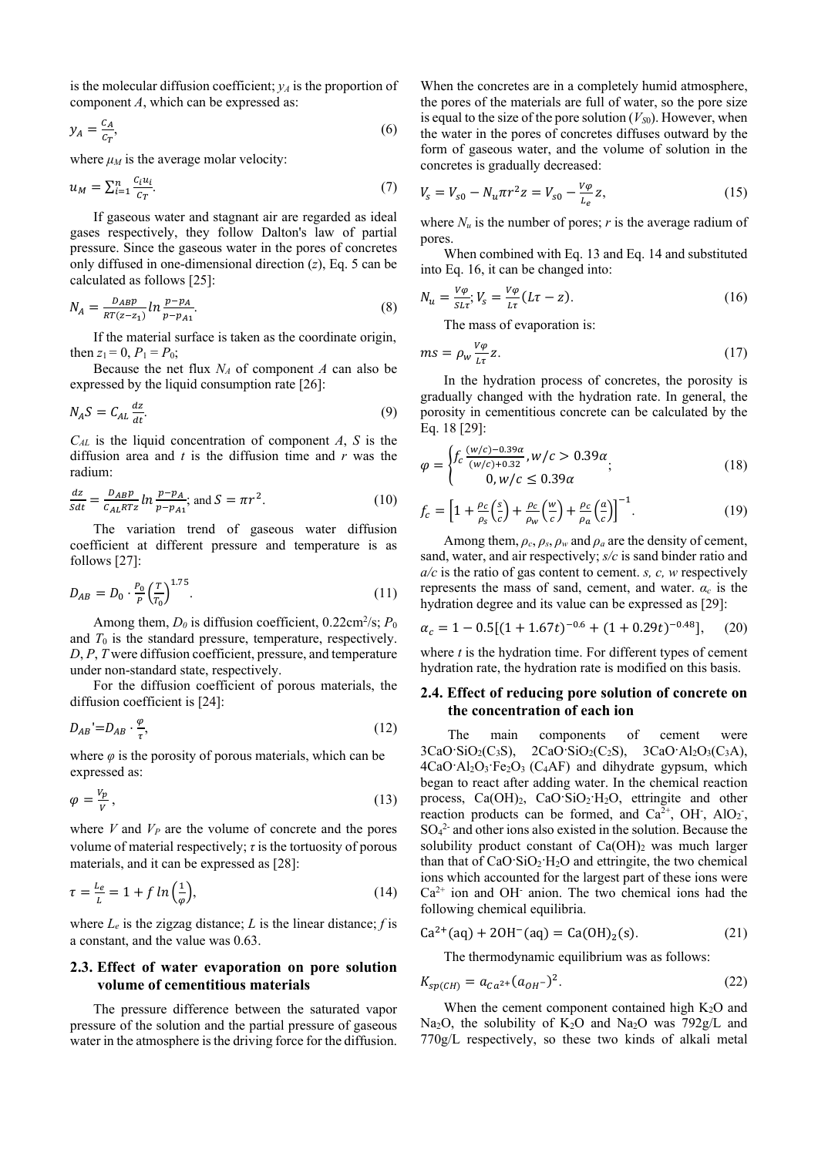is the molecular diffusion coefficient;  $y_A$  is the proportion of component *A*, which can be expressed as:

$$
y_A = \frac{c_A}{c_T},\tag{6}
$$

where  $\mu_M$  is the average molar velocity:

$$
u_M = \sum_{i=1}^n \frac{c_i u_i}{c_T}.\tag{7}
$$

If gaseous water and stagnant air are regarded as ideal gases respectively, they follow Dalton's law of partial pressure. Since the gaseous water in the pores of concretes only diffused in one-dimensional direction (*z*), Eq. 5 can be calculated as follows [25]:

$$
N_A = \frac{D_{AB}p}{RT(z - z_1)} \ln \frac{p - p_A}{p - p_{A1}}.\tag{8}
$$

If the material surface is taken as the coordinate origin, then  $z_1 = 0$ ,  $P_1 = P_0$ ;

Because the net flux  $N_A$  of component  $A$  can also be expressed by the liquid consumption rate [26]:

$$
N_A S = C_{AL} \frac{dz}{dt}.
$$
\n(9)

*CAL* is the liquid concentration of component *A*, *S* is the diffusion area and *t* is the diffusion time and *r* was the radium:

$$
\frac{dz}{Sdt} = \frac{D_{AB}p}{C_{AL}RTz} \ln \frac{p - p_A}{p - p_{A1}}; \text{ and } S = \pi r^2.
$$
 (10)

The variation trend of gaseous water diffusion coefficient at different pressure and temperature is as follows [27]:

$$
D_{AB} = D_0 \cdot \frac{P_0}{P} \left(\frac{T}{T_0}\right)^{1.75}.\tag{11}
$$

Among them,  $D_0$  is diffusion coefficient,  $0.22 \text{cm}^2/\text{s}$ ;  $P_0$ and  $T_0$  is the standard pressure, temperature, respectively. *D*, *P*, *T* were diffusion coefficient, pressure, and temperature under non-standard state, respectively.

For the diffusion coefficient of porous materials, the diffusion coefficient is [24]:

$$
D_{AB} = D_{AB} \cdot \frac{\varphi}{\tau},\tag{12}
$$

where  $\varphi$  is the porosity of porous materials, which can be expressed as:

$$
\varphi = \frac{V_p}{V},\tag{13}
$$

where  $V$  and  $V_P$  are the volume of concrete and the pores volume of material respectively; *τ* is the tortuosity of porous materials, and it can be expressed as [28]:

$$
\tau = \frac{L_e}{L} = 1 + f \ln\left(\frac{1}{\varphi}\right),\tag{14}
$$

where  $L_e$  is the zigzag distance;  $L$  is the linear distance;  $f$  is a constant, and the value was 0.63.

## **2.3. Effect of water evaporation on pore solution volume of cementitious materials**

The pressure difference between the saturated vapor pressure of the solution and the partial pressure of gaseous water in the atmosphere is the driving force for the diffusion.

When the concretes are in a completely humid atmosphere, the pores of the materials are full of water, so the pore size is equal to the size of the pore solution  $(V_{S0})$ . However, when the water in the pores of concretes diffuses outward by the form of gaseous water, and the volume of solution in the concretes is gradually decreased:

$$
V_s = V_{s0} - N_u \pi r^2 z = V_{s0} - \frac{v\varphi}{L_e} z,\tag{15}
$$

where  $N_u$  is the number of pores; *r* is the average radium of pores.

When combined with Eq. 13 and Eq. 14 and substituted into Eq. 16, it can be changed into:

$$
N_u = \frac{v_\varphi}{s_{L\tau}}; V_s = \frac{v_\varphi}{L\tau} (L\tau - z).
$$
\n(16)

The mass of evaporation is:

$$
ms = \rho_w \frac{v_\varphi}{l\tau} z. \tag{17}
$$

In the hydration process of concretes, the porosity is gradually changed with the hydration rate. In general, the porosity in cementitious concrete can be calculated by the Eq. 18 [29]:

$$
\varphi = \begin{cases} f_c \frac{(w/c) - 0.39\alpha}{(w/c) + 0.32}, w/c > 0.39\alpha \\ 0, w/c \le 0.39\alpha \end{cases}
$$
 (18)

$$
f_c = \left[1 + \frac{\rho_c}{\rho_s} \left(\frac{s}{c}\right) + \frac{\rho_c}{\rho_w} \left(\frac{w}{c}\right) + \frac{\rho_c}{\rho_a} \left(\frac{a}{c}\right)\right]^{-1}.\tag{19}
$$

Among them,  $\rho_c$ ,  $\rho_s$ ,  $\rho_w$  and  $\rho_a$  are the density of cement, sand, water, and air respectively; *s/c* is sand binder ratio and *a/c* is the ratio of gas content to cement. *s, c, w* respectively represents the mass of sand, cement, and water.  $\alpha_c$  is the hydration degree and its value can be expressed as [29]:

$$
\alpha_c = 1 - 0.5[(1 + 1.67t)^{-0.6} + (1 + 0.29t)^{-0.48}], \quad (20)
$$

where *t* is the hydration time. For different types of cement hydration rate, the hydration rate is modified on this basis.

#### **2.4. Effect of reducing pore solution of concrete on the concentration of each ion**

The main components of cement were  $3CaO·SiO<sub>2</sub>(C<sub>3</sub>S)$ ,  $2CaO·SiO<sub>2</sub>(C<sub>2</sub>S)$ ,  $3CaO·Al<sub>2</sub>O<sub>3</sub>(C<sub>3</sub>A)$ ,  $4CaO<sup>+</sup>Al<sub>2</sub>O<sub>3</sub>·Fe<sub>2</sub>O<sub>3</sub> (C<sub>4</sub>AF)$  and dihydrate gypsum, which began to react after adding water. In the chemical reaction process,  $Ca(OH)_2$ ,  $CaO·SiO_2·H_2O$ , ettringite and other reaction products can be formed, and  $Ca^{2+}$ , OH<sup>-</sup>, AlO<sub>2</sub><sup>-</sup>, SO4 2- and other ions also existed in the solution. Because the solubility product constant of  $Ca(OH)_2$  was much larger than that of  $CaO·SiO<sub>2</sub>·H<sub>2</sub>O$  and ettringite, the two chemical ions which accounted for the largest part of these ions were  $Ca<sup>2+</sup>$  ion and OH<sup>-</sup> anion. The two chemical ions had the following chemical equilibria.

$$
Ca2+(aq) + 2OH-(aq) = Ca(OH)2(s).
$$
 (21)

The thermodynamic equilibrium was as follows:

$$
K_{sp(CH)} = a_{Ca^{2+}}(a_{OH^{-}})^{2}.
$$
\n(22)

When the cement component contained high  $K<sub>2</sub>O$  and Na<sub>2</sub>O, the solubility of K<sub>2</sub>O and Na<sub>2</sub>O was 792g/L and 770g/L respectively, so these two kinds of alkali metal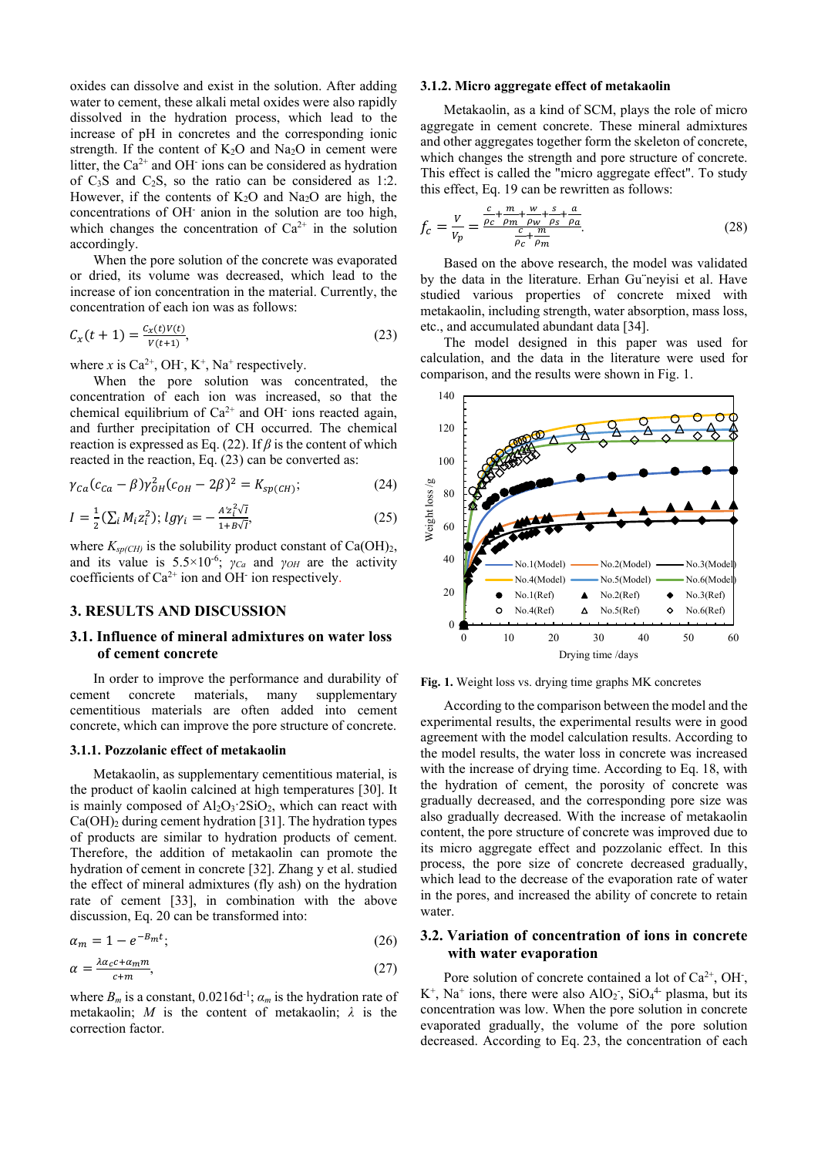oxides can dissolve and exist in the solution. After adding water to cement, these alkali metal oxides were also rapidly dissolved in the hydration process, which lead to the increase of pH in concretes and the corresponding ionic strength. If the content of  $K_2O$  and  $Na_2O$  in cement were litter, the  $Ca^{2+}$  and OH<sup>-</sup> ions can be considered as hydration of  $C_3S$  and  $C_2S$ , so the ratio can be considered as 1:2. However, if the contents of  $K_2O$  and Na<sub>2</sub>O are high, the concentrations of OH- anion in the solution are too high, which changes the concentration of  $Ca^{2+}$  in the solution accordingly.

When the pore solution of the concrete was evaporated or dried, its volume was decreased, which lead to the increase of ion concentration in the material. Currently, the concentration of each ion was as follows:

$$
C_x(t+1) = \frac{c_x(t)V(t)}{V(t+1)},
$$
\n(23)

where x is  $Ca^{2+}$ , OH<sup>-</sup>, K<sup>+</sup>, Na<sup>+</sup> respectively.

When the pore solution was concentrated, the concentration of each ion was increased, so that the chemical equilibrium of  $Ca^{2+}$  and OH<sup>-</sup> ions reacted again, and further precipitation of CH occurred. The chemical reaction is expressed as Eq. (22). If  $\beta$  is the content of which reacted in the reaction, Eq. (23) can be converted as:

$$
\gamma_{Ca}(c_{Ca} - \beta)\gamma_{OH}^2(c_{OH} - 2\beta)^2 = K_{sp(CH)};
$$
 (24)

$$
I = \frac{1}{2} \left( \sum_{i} M_{i} z_{i}^{2} \right); \, \log \gamma_{i} = -\frac{A' z_{i}^{2} \sqrt{I}}{1 + B \sqrt{I'}} \tag{25}
$$

where  $K_{sp(CH)}$  is the solubility product constant of  $Ca(OH)_2$ , and its value is  $5.5 \times 10^{-6}$ ; *γ<sub>Ca</sub>* and *γ<sub>OH</sub>* are the activity coefficients of  $Ca^{2+}$  ion and OH<sup>-</sup> ion respectively.

## **3. RESULTS AND DISCUSSION**

## **3.1. Influence of mineral admixtures on water loss of cement concrete**

In order to improve the performance and durability of ent concrete materials, many supplementary cement concrete materials, many cementitious materials are often added into cement concrete, which can improve the pore structure of concrete.

#### **3.1.1. Pozzolanic effect of metakaolin**

Metakaolin, as supplementary cementitious material, is the product of kaolin calcined at high temperatures [30]. It is mainly composed of  $Al_2O_3$  2SiO<sub>2</sub>, which can react with  $Ca(OH)<sub>2</sub>$  during cement hydration [31]. The hydration types of products are similar to hydration products of cement. Therefore, the addition of metakaolin can promote the hydration of cement in concrete [32]. Zhang y et al. studied the effect of mineral admixtures (fly ash) on the hydration rate of cement [33], in combination with the above discussion, Eq. 20 can be transformed into:

$$
\alpha_m = 1 - e^{-B_m t};\tag{26}
$$

$$
\alpha = \frac{\lambda a_c c + a_m m}{c + m},\tag{27}
$$

where  $B_m$  is a constant,  $0.0216d^{-1}$ ;  $\alpha_m$  is the hydration rate of metakaolin; *M* is the content of metakaolin; *λ* is the correction factor.

#### **3.1.2. Micro aggregate effect of metakaolin**

Metakaolin, as a kind of SCM, plays the role of micro aggregate in cement concrete. These mineral admixtures and other aggregates together form the skeleton of concrete, which changes the strength and pore structure of concrete. This effect is called the "micro aggregate effect". To study this effect, Eq. 19 can be rewritten as follows:

$$
f_c = \frac{V}{V_p} = \frac{\frac{c}{\rho_c} + \frac{m}{\rho_m} + \frac{w}{\rho_w} + \frac{s}{\rho_s} + \frac{a}{\rho_a}}{\frac{c}{\rho_c} + \frac{m}{\rho_m}}.
$$
(28)

Based on the above research, the model was validated by the data in the literature. Erhan Gu¨neyisi et al. Have studied various properties of concrete mixed with metakaolin, including strength, water absorption, mass loss, etc., and accumulated abundant data [34].

The model designed in this paper was used for calculation, and the data in the literature were used for comparison, and the results were shown in Fig. 1.



**Fig. 1.** Weight loss vs. drying time graphs MK concretes

According to the comparison between the model and the experimental results, the experimental results were in good agreement with the model calculation results. According to the model results, the water loss in concrete was increased with the increase of drying time. According to Eq. 18, with the hydration of cement, the porosity of concrete was gradually decreased, and the corresponding pore size was also gradually decreased. With the increase of metakaolin content, the pore structure of concrete was improved due to its micro aggregate effect and pozzolanic effect. In this process, the pore size of concrete decreased gradually, which lead to the decrease of the evaporation rate of water in the pores, and increased the ability of concrete to retain water.

#### **3.2. Variation of concentration of ions in concrete with water evaporation**

Pore solution of concrete contained a lot of  $Ca^{2+}$ , OH<sup>-</sup>,  $K^+$ , Na<sup>+</sup> ions, there were also AlO<sub>2</sub><sup>-</sup>, SiO<sub>4</sub><sup>4-</sup> plasma, but its concentration was low. When the pore solution in concrete evaporated gradually, the volume of the pore solution decreased. According to Eq. 23, the concentration of each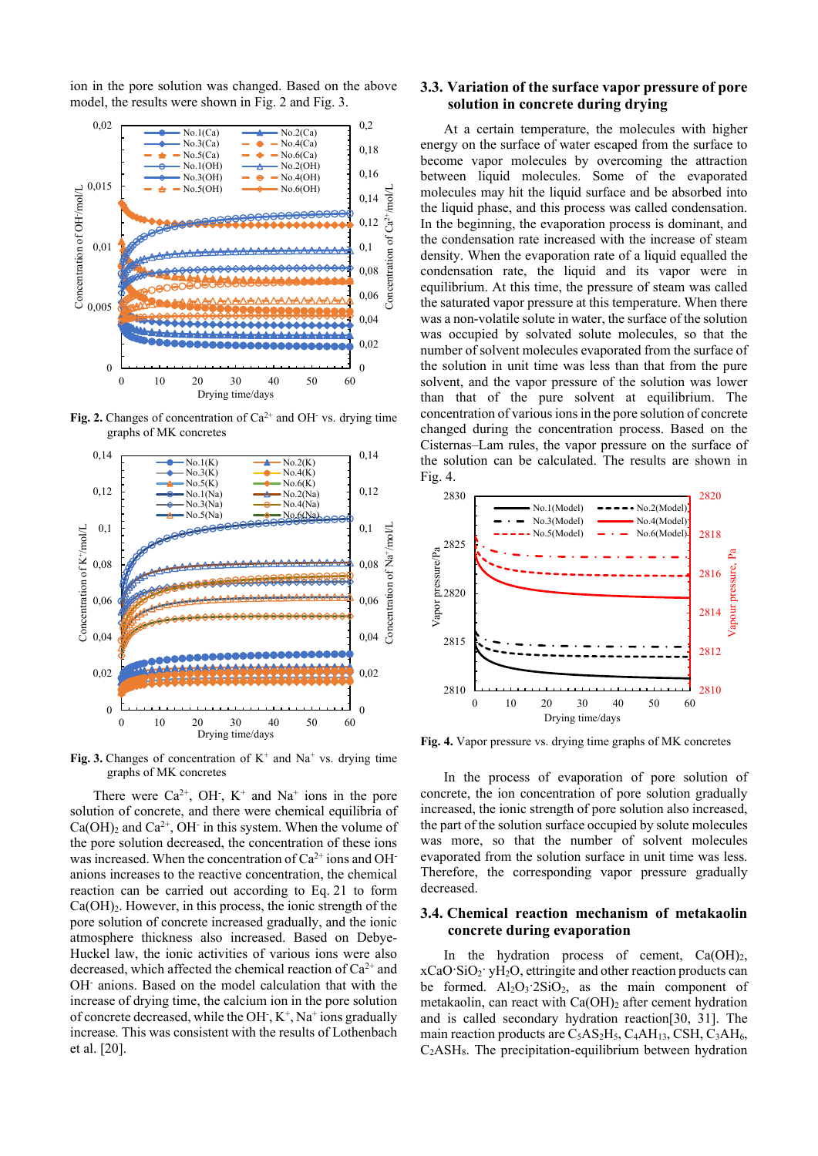ion in the pore solution was changed. Based on the above model, the results were shown in Fig. 2 and Fig. 3.



**Fig. 2.** Changes of concentration of  $Ca^{2+}$  and OH vs. drying time graphs of MK concretes



**Fig. 3.** Changes of concentration of  $K^+$  and  $Na^+$  vs. drying time graphs of MK concretes

There were  $Ca^{2+}$ , OH<sup>-</sup>, K<sup>+</sup> and Na<sup>+</sup> ions in the pore solution of concrete, and there were chemical equilibria of  $Ca(OH)_2$  and  $Ca^{2+}$ , OH in this system. When the volume of the pore solution decreased, the concentration of these ions was increased. When the concentration of  $Ca^{2+}$  ions and OHanions increases to the reactive concentration, the chemical reaction can be carried out according to Eq. 21 to form Ca(OH)2. However, in this process, the ionic strength of the pore solution of concrete increased gradually, and the ionic atmosphere thickness also increased. Based on Debye-Huckel law, the ionic activities of various ions were also decreased, which affected the chemical reaction of Ca<sup>2+</sup> and OH- anions. Based on the model calculation that with the increase of drying time, the calcium ion in the pore solution of concrete decreased, while the OH  $,K^+$ , Na<sup>+</sup> ions gradually increase. This was consistent with the results of Lothenbach et al. [20].

## **3.3. Variation of the surface vapor pressure of pore solution in concrete during drying**

At a certain temperature, the molecules with higher energy on the surface of water escaped from the surface to become vapor molecules by overcoming the attraction between liquid molecules. Some of the evaporated molecules may hit the liquid surface and be absorbed into the liquid phase, and this process was called condensation. In the beginning, the evaporation process is dominant, and the condensation rate increased with the increase of steam density. When the evaporation rate of a liquid equalled the condensation rate, the liquid and its vapor were in equilibrium. At this time, the pressure of steam was called the saturated vapor pressure at this temperature. When there was a non-volatile solute in water, the surface of the solution was occupied by solvated solute molecules, so that the number of solvent molecules evaporated from the surface of the solution in unit time was less than that from the pure solvent, and the vapor pressure of the solution was lower than that of the pure solvent at equilibrium. The concentration of various ions in the pore solution of concrete changed during the concentration process. Based on the Cisternas–Lam rules, the vapor pressure on the surface of the solution can be calculated. The results are shown in Fig. 4.



**Fig. 4.** Vapor pressure vs. drying time graphs of MK concretes

In the process of evaporation of pore solution of concrete, the ion concentration of pore solution gradually increased, the ionic strength of pore solution also increased, the part of the solution surface occupied by solute molecules was more, so that the number of solvent molecules evaporated from the solution surface in unit time was less. Therefore, the corresponding vapor pressure gradually decreased.

## **3.4. Chemical reaction mechanism of metakaolin concrete during evaporation**

In the hydration process of cement,  $Ca(OH)_{2}$ ,  $xCaO·SiO<sub>2</sub>·vH<sub>2</sub>O$ , ettringite and other reaction products can be formed.  $Al_2O_3$  2SiO<sub>2</sub>, as the main component of metakaolin, can react with Ca(OH)<sub>2</sub> after cement hydration and is called secondary hydration reaction[30, 31]. The main reaction products are  $C_5AS_2H_5$ ,  $C_4AH_{13}$ , CSH,  $C_3AH_6$ ,  $C<sub>2</sub>ASH<sub>8</sub>$ . The precipitation-equilibrium between hydration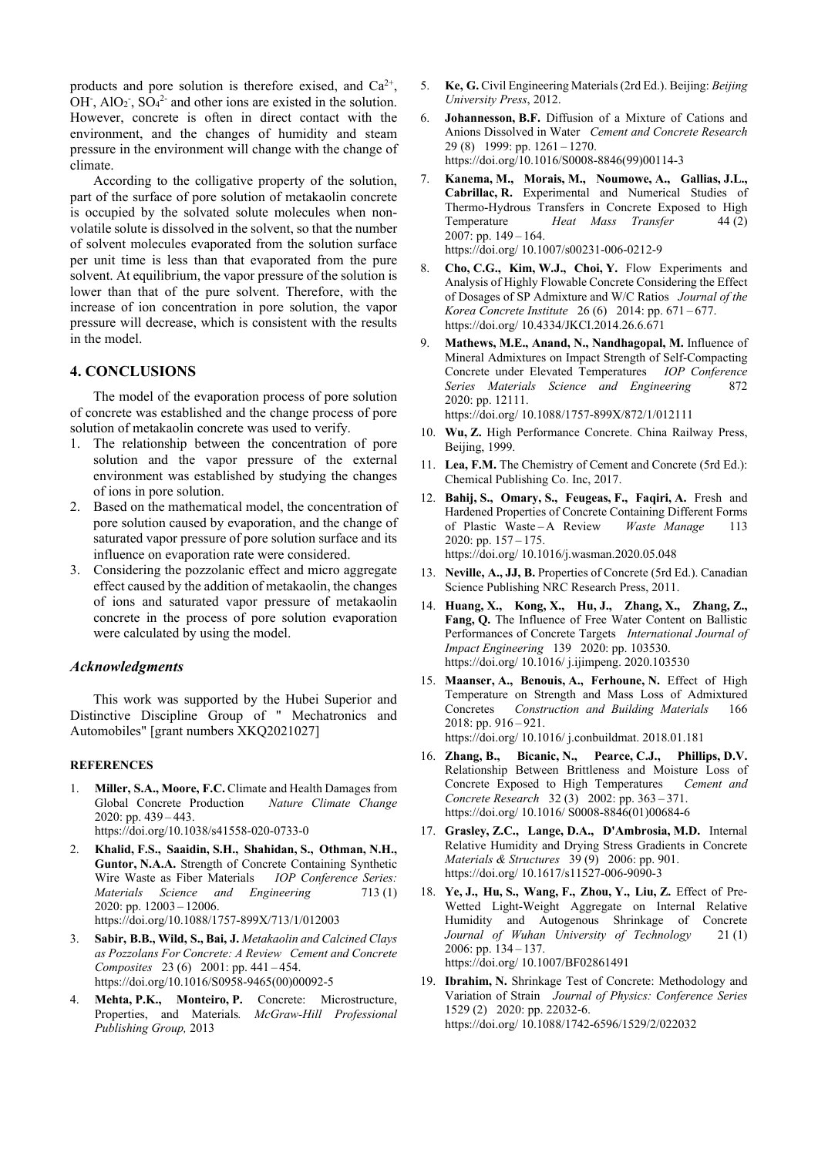products and pore solution is therefore exised, and  $Ca^{2+}$ , OH<sup>-</sup>, AlO<sub>2</sub><sup>-</sup>, SO<sub>4</sub><sup>2-</sup> and other ions are existed in the solution. However, concrete is often in direct contact with the environment, and the changes of humidity and steam pressure in the environment will change with the change of climate.

According to the colligative property of the solution, part of the surface of pore solution of metakaolin concrete is occupied by the solvated solute molecules when nonvolatile solute is dissolved in the solvent, so that the number of solvent molecules evaporated from the solution surface per unit time is less than that evaporated from the pure solvent. At equilibrium, the vapor pressure of the solution is lower than that of the pure solvent. Therefore, with the increase of ion concentration in pore solution, the vapor pressure will decrease, which is consistent with the results in the model.

## **4. CONCLUSIONS**

The model of the evaporation process of pore solution of concrete was established and the change process of pore solution of metakaolin concrete was used to verify.

- 1. The relationship between the concentration of pore solution and the vapor pressure of the external environment was established by studying the changes of ions in pore solution.
- 2. Based on the mathematical model, the concentration of pore solution caused by evaporation, and the change of saturated vapor pressure of pore solution surface and its influence on evaporation rate were considered.
- 3. Considering the pozzolanic effect and micro aggregate effect caused by the addition of metakaolin, the changes of ions and saturated vapor pressure of metakaolin concrete in the process of pore solution evaporation were calculated by using the model.

### *Acknowledgments*

This work was supported by the Hubei Superior and Distinctive Discipline Group of " Mechatronics and Automobiles" [grant numbers XKQ2021027]

#### **REFERENCES**

- 1. **Miller, S.A., Moore, F.C.** Climate and Health Damages from Global Concrete Production 2020: pp. 439 – 443. https://doi.org/10.1038/s41558-020-0733-0
- 2. **Khalid, F.S., Saaidin, S.H., Shahidan, S., Othman, N.H., Guntor, N.A.A.** Strength of Concrete Containing Synthetic Wire Waste as Fiber Materials *IOP Conference Series:* Wire Waste as Fiber Materials *Materials Science and Engineering* 713 (1) 2020: pp. 12003 – 12006. https://doi.org/10.1088/1757-899X/713/1/012003
- 3. **Sabir, B.B., Wild, S., Bai, J.** *Metakaolin and Calcined Clays as Pozzolans For Concrete: A Review Cement and Concrete Composites* 23 (6) 2001: pp. 441 – 454. https://doi.org/10.1016/S0958-9465(00)00092-5
- 4. **Mehta, P.K., Monteiro, P.** Concrete: Microstructure, Properties, and Materials*. McGraw-Hill Professional Publishing Group,* 2013
- 5. **Ke, G.** Civil Engineering Materials (2rd Ed.). Beijing: *Beijing University Press*, 2012.
- 6. **Johannesson, B.F.** Diffusion of a Mixture of Cations and Anions Dissolved in Water *Cement and Concrete Research* 29 (8) 1999: pp. 1261 – 1270. https://doi.org/10.1016/S0008-8846(99)00114-3
- 7. **Kanema, M., Morais, M., Noumowe, A., Gallias, J.L., Cabrillac, R.** Experimental and Numerical Studies of Thermo-Hydrous Transfers in Concrete Exposed to High Temperature *Heat Mass Transfer* 44 (2)  $2007:$  pp.  $149 - 164.$ https://doi.org/ 10.1007/s00231-006-0212-9
- 8. **Cho, C.G., Kim, W.J., Choi, Y.** Flow Experiments and Analysis of Highly Flowable Concrete Considering the Effect of Dosages of SP Admixture and W/C Ratios *Journal of the Korea Concrete Institute* 26 (6) 2014: pp. 671 – 677. https://doi.org/ 10.4334/JKCI.2014.26.6.671
- 9. **Mathews, M.E., Anand, N., Nandhagopal, M.** Influence of Mineral Admixtures on Impact Strength of Self-Compacting Concrete under Elevated Temperatures *IOP Conference Series Materials Science and Engineering* 872 2020: pp. 12111.

https://doi.org/ 10.1088/1757-899X/872/1/012111

- 10. **Wu, Z.** High Performance Concrete. China Railway Press, Beijing, 1999.
- 11. **Lea, F.M.** The Chemistry of Cement and Concrete (5rd Ed.): Chemical Publishing Co. Inc, 2017.
- 12. **Bahij, S., Omary, S., Feugeas, F., Faqiri, A.** Fresh and Hardened Properties of Concrete Containing Different Forms of Plastic Waste – A Review *Waste Manage* 113 2020: pp. 157 – 175. https://doi.org/ 10.1016/j.wasman.2020.05.048
- 13. **Neville, A., JJ, B.** Properties of Concrete (5rd Ed.). Canadian Science Publishing NRC Research Press, 2011.
- 14. **Huang, X., Kong, X., Hu, J., Zhang, X., Zhang, Z., Fang, Q.** The Influence of Free Water Content on Ballistic Performances of Concrete Targets *International Journal of Impact Engineering* 139 2020: pp. 103530. https://doi.org/ 10.1016/ j.ijimpeng. 2020.103530
- 15. **Maanser, A., Benouis, A., Ferhoune, N.** Effect of High Temperature on Strength and Mass Loss of Admixtured Concretes *Construction and Building Materials* 166 2018: pp. 916 – 921. https://doi.org/ 10.1016/ j.conbuildmat. 2018.01.181
- 16. **Zhang, B., Bicanic, N., Pearce, C.J., Phillips, D.V.** Relationship Between Brittleness and Moisture Loss of Concrete Exposed to High Temperatures *Cement and Concrete Research* 32 (3) 2002: pp. 363 – 371. https://doi.org/ 10.1016/ S0008-8846(01)00684-6
- 17. **Grasley, Z.C., Lange, D.A., D'Ambrosia, M.D.** Internal Relative Humidity and Drying Stress Gradients in Concrete *Materials & Structures* 39 (9) 2006: pp. 901. https://doi.org/ 10.1617/s11527-006-9090-3
- 18. **Ye, J., Hu, S., Wang, F., Zhou, Y., Liu, Z.** Effect of Pre-Wetted Light-Weight Aggregate on Internal Relative Humidity and Autogenous Shrinkage of Concrete Journal of Wuhan University of Technology 21(1) 2006: pp. 134 – 137. https://doi.org/ 10.1007/BF02861491
- 19. **Ibrahim, N.** Shrinkage Test of Concrete: Methodology and Variation of Strain *Journal of Physics: Conference Series*  1529 (2) 2020: pp. 22032-6. https://doi.org/ 10.1088/1742-6596/1529/2/022032